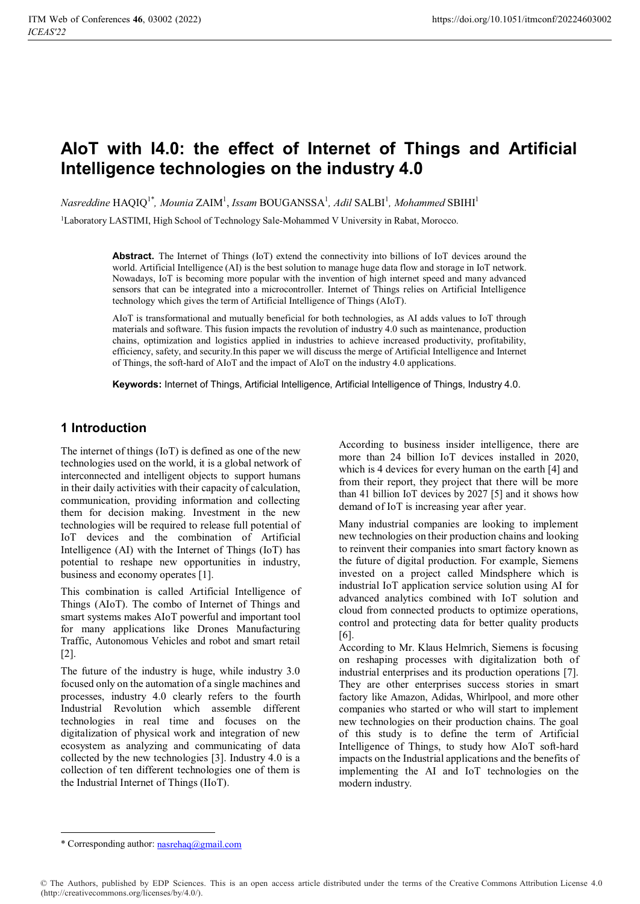# **AIoT with I4.0: the effect of Internet of Things and Artificial Intelligence technologies on the industry 4.0**

 $Nasreddine HAQIQ<sup>1*</sup>, *Mounia* ZAIM<sup>1</sup>, *ISSam* BOUGANSSA<sup>1</sup>, *Adil* SALBI<sup>1</sup>, *Mohammed* SBIHI<sup>1</sup>$ 

1Laboratory LASTIMI, High School of Technology Sale-Mohammed V University in Rabat, Morocco.

**Abstract.** The Internet of Things (IoT) extend the connectivity into billions of IoT devices around the world. Artificial Intelligence (AI) is the best solution to manage huge data flow and storage in IoT network. Nowadays, IoT is becoming more popular with the invention of high internet speed and many advanced sensors that can be integrated into a microcontroller. Internet of Things relies on Artificial Intelligence technology which gives the term of Artificial Intelligence of Things (AIoT).

AIoT is transformational and mutually beneficial for both technologies, as AI adds values to IoT through materials and software. This fusion impacts the revolution of industry 4.0 such as maintenance, production chains, optimization and logistics applied in industries to achieve increased productivity, profitability, efficiency, safety, and security.In this paper we will discuss the merge of Artificial Intelligence and Internet of Things, the soft-hard of AIoT and the impact of AIoT on the industry 4.0 applications.

**Keywords:** Internet of Things, Artificial Intelligence, Artificial Intelligence of Things, Industry 4.0.

# **1 Introduction**

The internet of things (IoT) is defined as one of the new technologies used on the world, it is a global network of interconnected and intelligent objects to support humans in their daily activities with their capacity of calculation, communication, providing information and collecting them for decision making. Investment in the new technologies will be required to release full potential of IoT devices and the combination of Artificial Intelligence (AI) with the Internet of Things (IoT) has potential to reshape new opportunities in industry, business and economy operates [1].

This combination is called Artificial Intelligence of Things (AIoT). The combo of Internet of Things and smart systems makes AIoT powerful and important tool for many applications like Drones Manufacturing Traffic, Autonomous Vehicles and robot and smart retail [2].

The future of the industry is huge, while industry 3.0 focused only on the automation of a single machines and processes, industry 4.0 clearly refers to the fourth Industrial Revolution which assemble different technologies in real time and focuses on the digitalization of physical work and integration of new ecosystem as analyzing and communicating of data collected by the new technologies [3]. Industry 4.0 is a collection of ten different technologies one of them is the Industrial Internet of Things (IIoT).

According to business insider intelligence, there are more than 24 billion IoT devices installed in 2020, which is 4 devices for every human on the earth [4] and from their report, they project that there will be more than 41 billion IoT devices by 2027 [5] and it shows how demand of IoT is increasing year after year.

Many industrial companies are looking to implement new technologies on their production chains and looking to reinvent their companies into smart factory known as the future of digital production. For example, Siemens invested on a project called Mindsphere which is industrial IoT application service solution using AI for advanced analytics combined with IoT solution and cloud from connected products to optimize operations, control and protecting data for better quality products [6].

According to Mr. Klaus Helmrich, Siemens is focusing on reshaping processes with digitalization both of industrial enterprises and its production operations [7]. They are other enterprises success stories in smart factory like Amazon, Adidas, Whirlpool, and more other companies who started or who will start to implement new technologies on their production chains. The goal of this study is to define the term of Artificial Intelligence of Things, to study how AIoT soft-hard impacts on the Industrial applications and the benefits of implementing the AI and IoT technologies on the modern industry.

<sup>\*</sup> Corresponding author: nasrehaq@gmail.com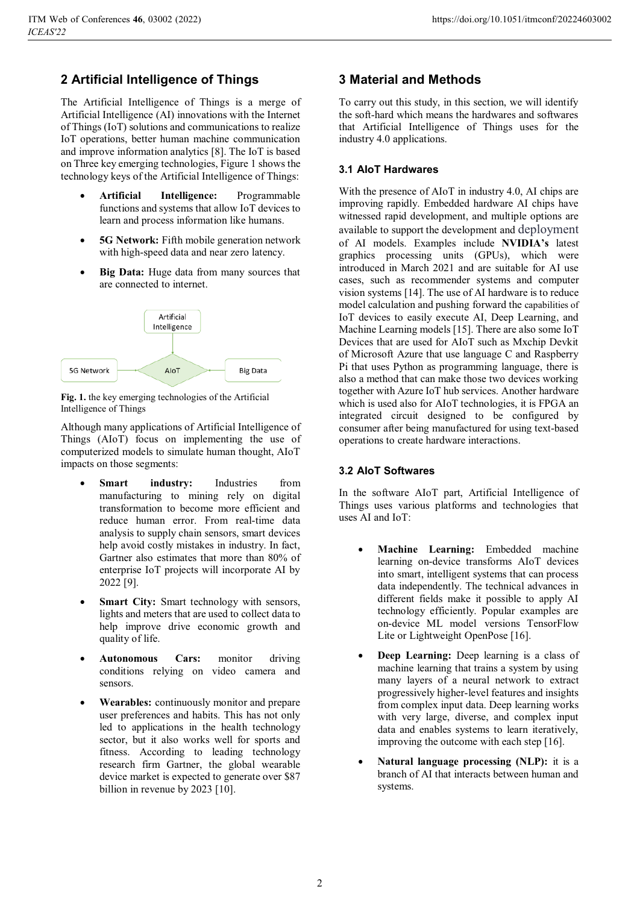# **2 Artificial Intelligence of Things**

The Artificial Intelligence of Things is a merge of Artificial Intelligence (AI) innovations with the Internet of Things (IoT) solutions and communications to realize IoT operations, better human machine communication and improve information analytics [8]. The IoT is based on Three key emerging technologies, Figure 1 shows the technology keys of the Artificial Intelligence of Things:

- - **Artificial Intelligence:** Programmable functions and systems that allow IoT devices to learn and process information like humans.
- - **5G Network:** Fifth mobile generation network with high-speed data and near zero latency.
- $\bullet$  **Big Data:** Huge data from many sources that are connected to internet.



**Fig. 1.** the key emerging technologies of the Artificial Intelligence of Things

Although many applications of Artificial Intelligence of Things (AIoT) focus on implementing the use of computerized models to simulate human thought, AIoT impacts on those segments:

- -**Smart industry:** Industries from manufacturing to mining rely on digital transformation to become more efficient and reduce human error. From real-time data analysis to supply chain sensors, smart devices help avoid costly mistakes in industry. In fact, Gartner also estimates that more than 80% of enterprise IoT projects will incorporate AI by 2022 [9].
- -**Smart City:** Smart technology with sensors, lights and meters that are used to collect data to help improve drive economic growth and quality of life.
- - **Autonomous Cars:** monitor driving conditions relying on video camera and sensors.
- - **Wearables:** continuously monitor and prepare user preferences and habits. This has not only led to applications in the health technology sector, but it also works well for sports and fitness. According to leading technology research firm Gartner, the global wearable device market is expected to generate over \$87 billion in revenue by 2023 [10].

# **3 Material and Methods**

To carry out this study, in this section, we will identify the soft-hard which means the hardwares and softwares that Artificial Intelligence of Things uses for the industry 4.0 applications.

# **3.1 AIoT Hardwares**

With the presence of AIoT in industry 4.0, AI chips are improving rapidly. Embedded hardware AI chips have witnessed rapid development, and multiple options are available to support the development and deployment of AI models. Examples include **NVIDIA's** latest graphics processing units (GPUs), which were introduced in March 2021 and are suitable for AI use cases, such as recommender systems and computer vision systems [14]. The use of AI hardware is to reduce model calculation and pushing forward the capabilities of IoT devices to easily execute AI, Deep Learning, and Machine Learning models [15]. There are also some IoT Devices that are used for AIoT such as Mxchip Devkit of Microsoft Azure that use language C and Raspberry Pi that uses Python as programming language, there is also a method that can make those two devices working together with Azure IoT hub services. Another hardware which is used also for AIoT technologies, it is FPGA an integrated circuit designed to be configured by consumer after being manufactured for using text-based operations to create hardware interactions.

# **3.2 AIoT Softwares**

In the software AIoT part, Artificial Intelligence of Things uses various platforms and technologies that uses AI and IoT:

- - **Machine Learning:** Embedded machine learning on-device transforms AIoT devices into smart, intelligent systems that can process data independently. The technical advances in different fields make it possible to apply AI technology efficiently. Popular examples are on-device ML model versions TensorFlow Lite or Lightweight OpenPose [16].
- - **Deep Learning:** Deep learning is a class of machine learning that trains a system by using many layers of a neural network to extract progressively higher-level features and insights from complex input data. Deep learning works with very large, diverse, and complex input data and enables systems to learn iteratively, improving the outcome with each step [16].
- - **Natural language processing (NLP):** it is a branch of AI that interacts between human and systems.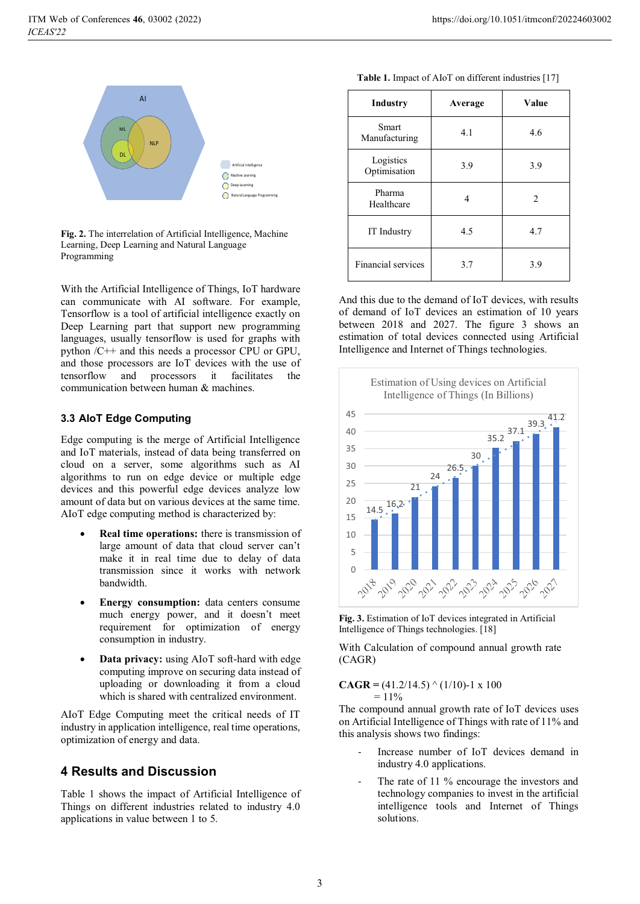

**Fig. 2.** The interrelation of Artificial Intelligence, Machine Learning, Deep Learning and Natural Language Programming

With the Artificial Intelligence of Things, IoT hardware can communicate with AI software. For example, Tensorflow is a tool of artificial intelligence exactly on Deep Learning part that support new programming languages, usually tensorflow is used for graphs with python /C++ and this needs a processor CPU or GPU, and those processors are IoT devices with the use of tensorflow and processors it facilitates the communication between human & machines.

#### **3.3 AIoT Edge Computing**

Edge computing is the merge of Artificial Intelligence and IoT materials, instead of data being transferred on cloud on a server, some algorithms such as AI algorithms to run on edge device or multiple edge devices and this powerful edge devices analyze low amount of data but on various devices at the same time. AIoT edge computing method is characterized by:

- - **Real time operations:** there is transmission of large amount of data that cloud server can't make it in real time due to delay of data transmission since it works with network bandwidth.
- - **Energy consumption:** data centers consume much energy power, and it doesn't meet requirement for optimization of energy consumption in industry.
- $\bullet$  **Data privacy:** using AIoT soft-hard with edge computing improve on securing data instead of uploading or downloading it from a cloud which is shared with centralized environment.

AIoT Edge Computing meet the critical needs of IT industry in application intelligence, real time operations, optimization of energy and data.

# **4 Results and Discussion**

Table 1 shows the impact of Artificial Intelligence of Things on different industries related to industry 4.0 applications in value between 1 to 5.

|  | Table 1. Impact of AIoT on different industries [17] |
|--|------------------------------------------------------|
|--|------------------------------------------------------|

| Industry                  | Average | Value          |
|---------------------------|---------|----------------|
| Smart<br>Manufacturing    | 4.1     | 4.6            |
| Logistics<br>Optimisation | 3.9     | 3.9            |
| Pharma<br>Healthcare      | 4       | $\mathfrak{D}$ |
| IT Industry               | 4.5     | 4.7            |
| Financial services        | 3.7     | 3.9            |

And this due to the demand of IoT devices, with results of demand of IoT devices an estimation of 10 years between 2018 and 2027. The figure 3 shows an estimation of total devices connected using Artificial Intelligence and Internet of Things technologies.



**Fig. 3.** Estimation of IoT devices integrated in Artificial Intelligence of Things technologies. [18]

With Calculation of compound annual growth rate (CAGR)

**CAGR** =  $(41.2/14.5) \land (1/10)$ -1 x 100  $= 11\%$ 

The compound annual growth rate of IoT devices uses on Artificial Intelligence of Things with rate of 11% and this analysis shows two findings:

- Increase number of IoT devices demand in industry 4.0 applications.
- The rate of 11 % encourage the investors and technology companies to invest in the artificial intelligence tools and Internet of Things solutions.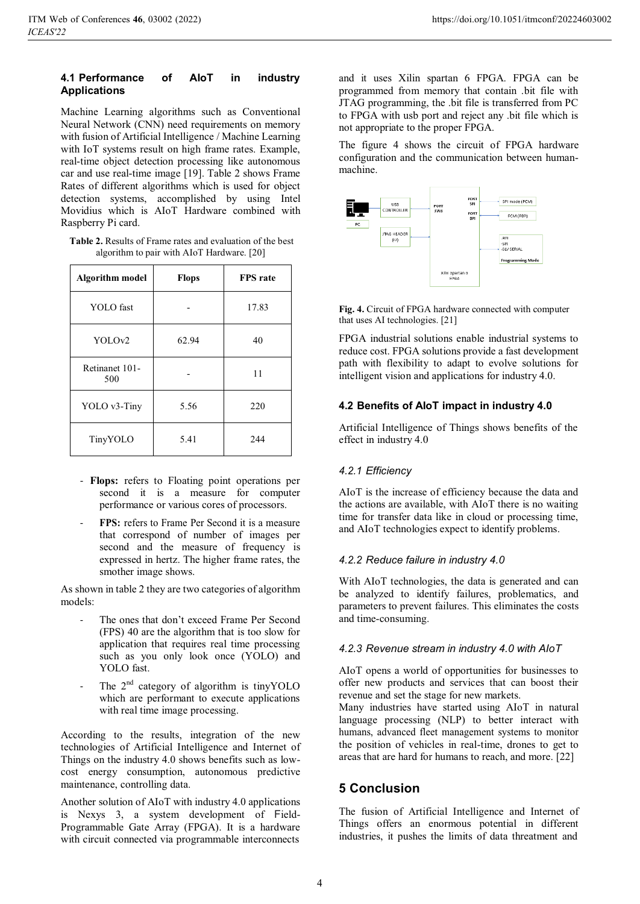#### **4.1 Performance of AIoT in industry Applications**

Machine Learning algorithms such as Conventional Neural Network (CNN) need requirements on memory with fusion of Artificial Intelligence / Machine Learning with IoT systems result on high frame rates. Example, real-time object detection processing like autonomous car and use real-time image [19]. Table 2 shows Frame Rates of different algorithms which is used for object detection systems, accomplished by using Intel Movidius which is AIoT Hardware combined with Raspberry Pi card.

**Table 2.** Results of Frame rates and evaluation of the best algorithm to pair with AIoT Hardware. [20]

| <b>Algorithm model</b> | <b>Flops</b> | FPS rate |
|------------------------|--------------|----------|
| <b>YOLO</b> fast       |              | 17.83    |
| YOLO <sub>v2</sub>     | 62.94        | 40       |
| Retinanet 101-<br>500  |              | 11       |
| YOLO v3-Tiny           | 5.56         | 220      |
| TinyYOLO               | 5.41         | 244      |

- **Flops:** refers to Floating point operations per second it is a measure for computer performance or various cores of processors.
- FPS: refers to Frame Per Second it is a measure that correspond of number of images per second and the measure of frequency is expressed in hertz. The higher frame rates, the smother image shows.

As shown in table 2 they are two categories of algorithm models:

- The ones that don't exceed Frame Per Second (FPS) 40 are the algorithm that is too slow for application that requires real time processing such as you only look once (YOLO) and YOLO fast.
- The  $2<sup>nd</sup>$  category of algorithm is tinyYOLO which are performant to execute applications with real time image processing.

According to the results, integration of the new technologies of Artificial Intelligence and Internet of Things on the industry 4.0 shows benefits such as lowcost energy consumption, autonomous predictive maintenance, controlling data.

Another solution of AIoT with industry 4.0 applications is Nexys 3, a system development of Field-Programmable Gate Array (FPGA). It is a hardware with circuit connected via programmable interconnects

and it uses Xilin spartan 6 FPGA. FPGA can be programmed from memory that contain .bit file with JTAG programming, the .bit file is transferred from PC to FPGA with usb port and reject any .bit file which is not appropriate to the proper FPGA.

The figure 4 shows the circuit of FPGA hardware configuration and the communication between humanmachine.



**Fig. 4.** Circuit of FPGA hardware connected with computer that uses AI technologies. [21]

FPGA industrial solutions enable industrial systems to reduce cost. FPGA solutions provide a fast development path with flexibility to adapt to evolve solutions for intelligent vision and applications for industry 4.0.

# **4.2 Benefits of AIoT impact in industry 4.0**

Artificial Intelligence of Things shows benefits of the effect in industry 4.0

# *4.2.1 Efficiency*

AIoT is the increase of efficiency because the data and the actions are available, with AIoT there is no waiting time for transfer data like in cloud or processing time, and AIoT technologies expect to identify problems.

# *4.2.2 Reduce failure in industry 4.0*

With AIoT technologies, the data is generated and can be analyzed to identify failures, problematics, and parameters to prevent failures. This eliminates the costs and time-consuming.

# *4.2.3 Revenue stream in industry 4.0 with AIoT*

AIoT opens a world of opportunities for businesses to offer new products and services that can boost their revenue and set the stage for new markets.

Many industries have started using AIoT in natural language processing (NLP) to better interact with humans, advanced fleet management systems to monitor the position of vehicles in real-time, drones to get to areas that are hard for humans to reach, and more. [22]

# **5 Conclusion**

The fusion of Artificial Intelligence and Internet of Things offers an enormous potential in different industries, it pushes the limits of data threatment and